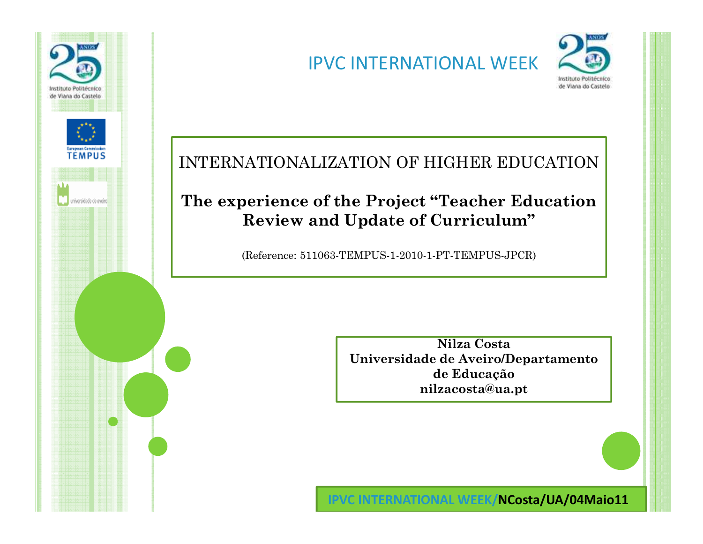

## IPVC INTERNATIONAL WEEK



#### INTERNATIONALIZATION OF HIGHER EDUCATION

#### **The experience of the Project "Teacher Education Review and Update of Curriculum"**

(Reference: 511063-TEMPUS-1-2010-1-PT-TEMPUS-JPCR)

**Nilza Costa Universidade de Aveiro/Departamento de Educaçãonilzacosta@ua.pt**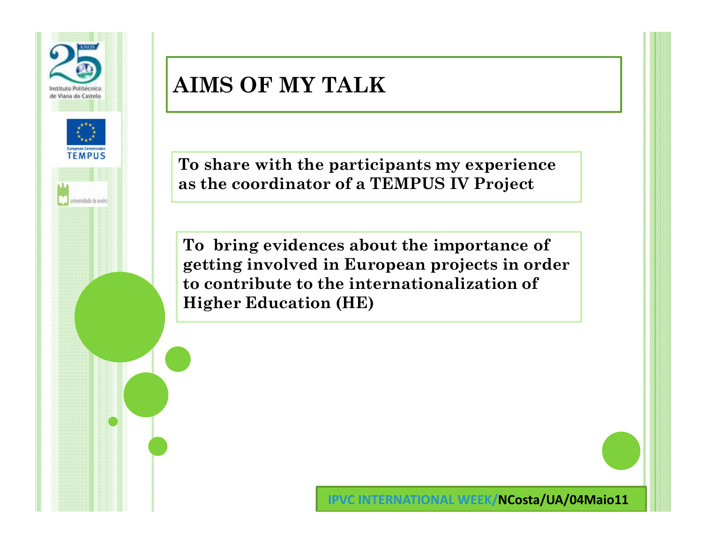

# **AIMS OF MY TALK**

**To share with the participants my experience as the coordinator of a TEMPUS IV Project** 

**To bring evidences about the importance of getting involved in European projects in order to contribute to the internationalization of Higher Education (HE)**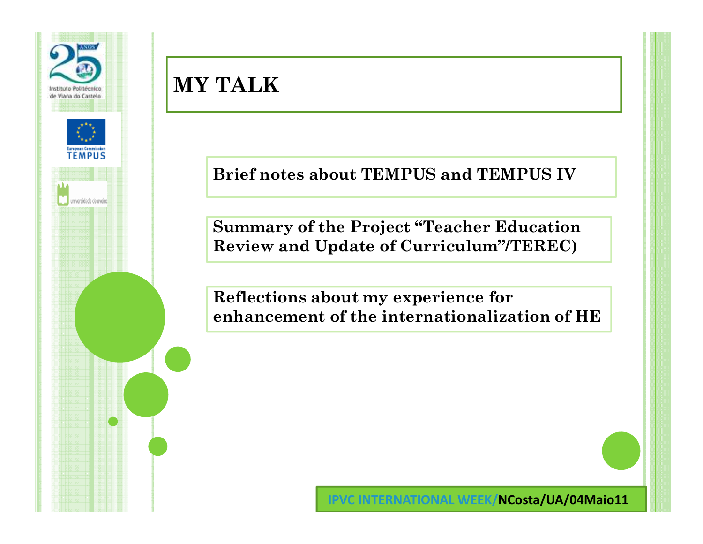

**Brief notes about TEMPUS and TEMPUS IV**

**Summary of the Project "Teacher Education Review and Update of Curriculum"/TEREC)**

**Reflections about my experience for enhancement of the internationalization of HE**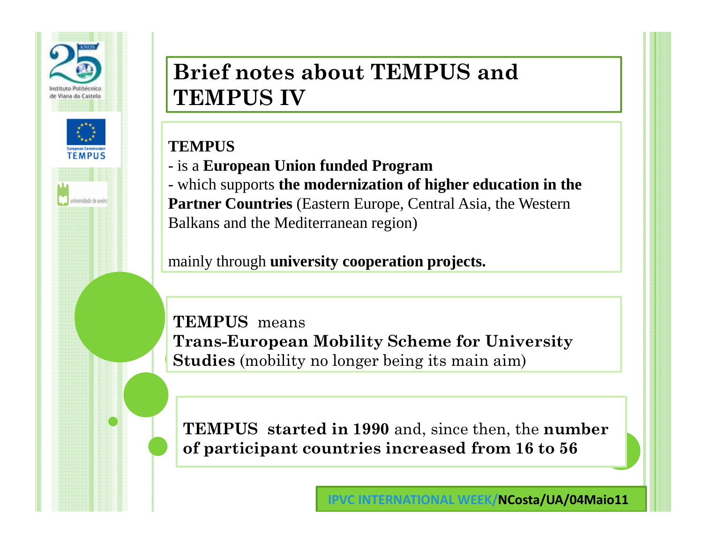

## **Brief notes about TEMPUS and TEMPUS IV**

### **TEMPUS**

- is a **European Union funded Program** 

- which supports **the modernization of higher education in the Partner Countries** (Eastern Europe, Central Asia, the Western Balkans and the Mediterranean region)

mainly through **university cooperation projects.**

**TEMPUS** means **Trans-European Mobility Scheme for University Studies** (mobility no longer being its main aim)

**TEMPUS started in 1990** and, since then, the **number of participant countries increased from 16 to 56**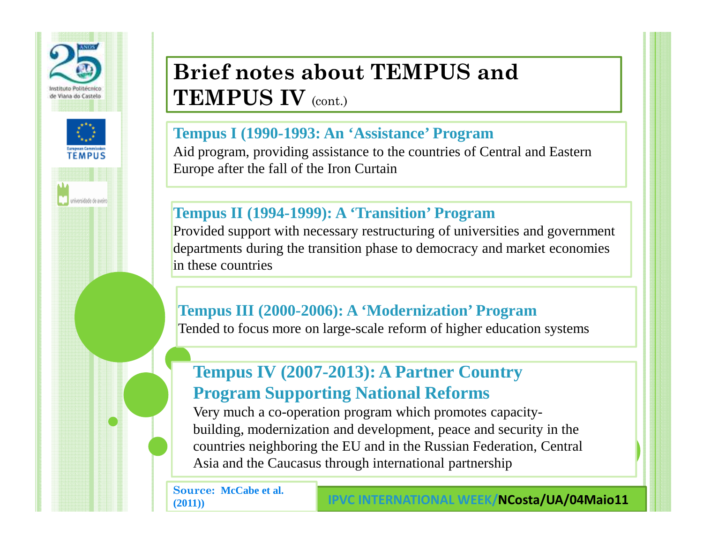

## **Brief notes about TEMPUS and TEMPUS IV** (cont.)

#### **Tempus I (1990-1993: An 'Assistance' Program**

 Aid program, providing assistance to the countries of Central and Eastern Europe after the fall of the Iron Curtain

#### **Tempus II (1994-1999): A 'Transition' Program**

 Provided support with necessary restructuring of universities and government departments during the transition phase to democracy and market economies in these countries

#### **Tempus III (2000-2006): A 'Modernization' Program**

Tended to focus more on large-scale reform of higher education systems

### **Tempus IV (2007-2013): A Partner Country Program Supporting National Reforms**

 Very much a co-operation program which promotes capacitybuilding, modernization and development, peace and security in the countries neighboring the EU and in the Russian Federation, Central Asia and the Caucasus through international partnership

**Source: McCabe et al. (2011))**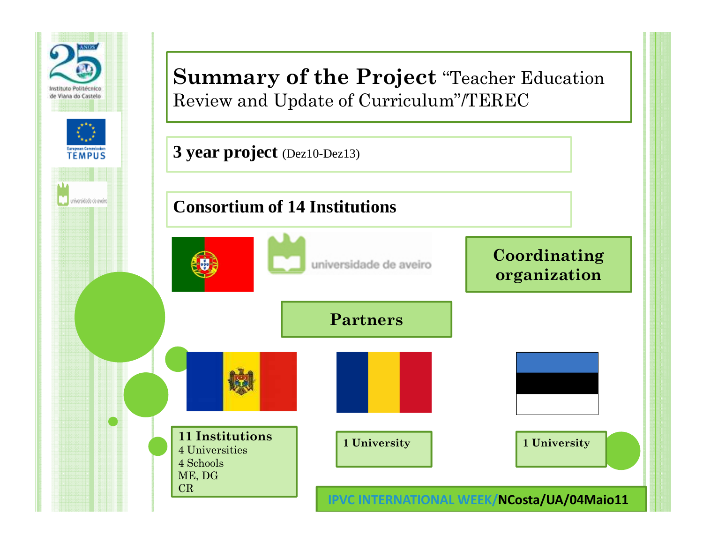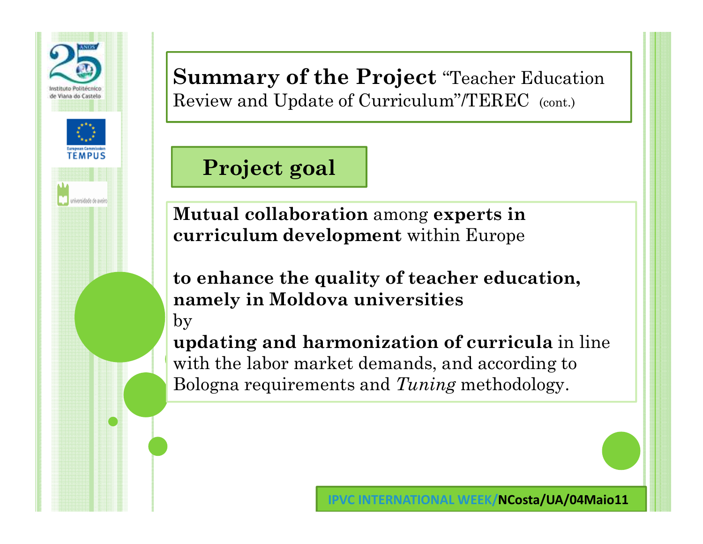

**Project goal**

**Mutual collaboration** among **experts in curriculum development** within Europe

**to enhance the quality of teacher education, namely in Moldova universities**by

**updating and harmonization of curricula** in line with the labor market demands, and according to Bologna requirements and *Tuning* methodology.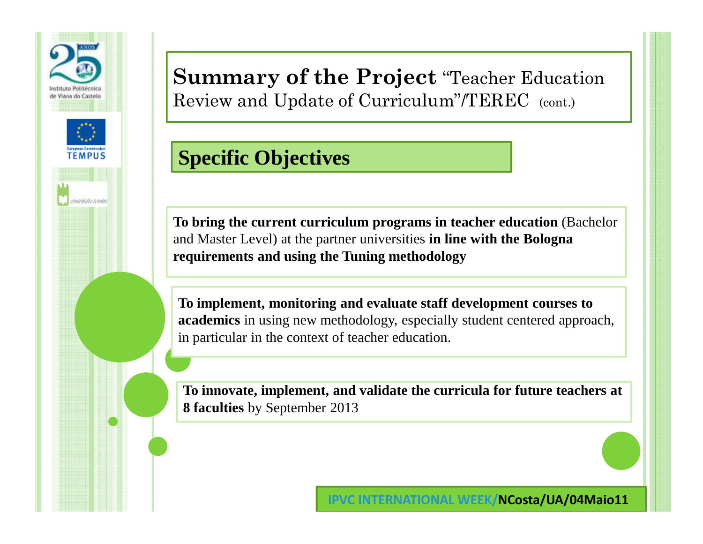

### **Specific Objectives**

**To bring the current curriculum programs in teacher education** (Bachelor and Master Level) at the partner universities **in line with the Bologna requirements and using the Tuning methodology**

**To implement, monitoring and evaluate staff development courses to academics** in using new methodology, especially student centered approach, in particular in the context of teacher education.

**To innovate, implement, and validate the curricula for future teachers at 8 faculties** by September 2013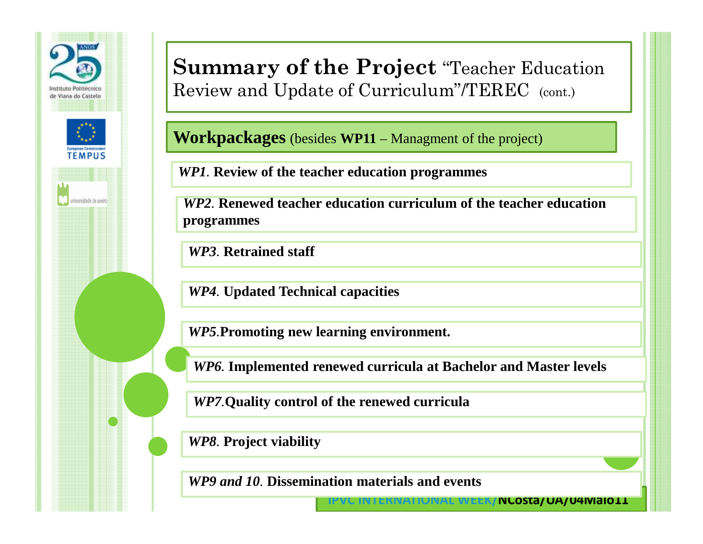

**Workpackages** (besides **WP11** – Managment of the project)

*WP1.* **Review of the teacher education programmes**

*WP2.* **Renewed teacher education curriculum of the teacher education programmes**

*WP3.* **Retrained staff**

*WP4.* **Updated Technical capacities**

*WP5.***Promoting new learning environment.**

*WP6.* **Implemented renewed curricula at Bachelor and Master levels**

**IPVC INTERNATIONAL WEEK/NCosta/UA/04Maio11**

*WP7.***Quality control of the renewed curricula**

*WP8.* **Project viability**

*WP9 and 10.* **Dissemination materials and events**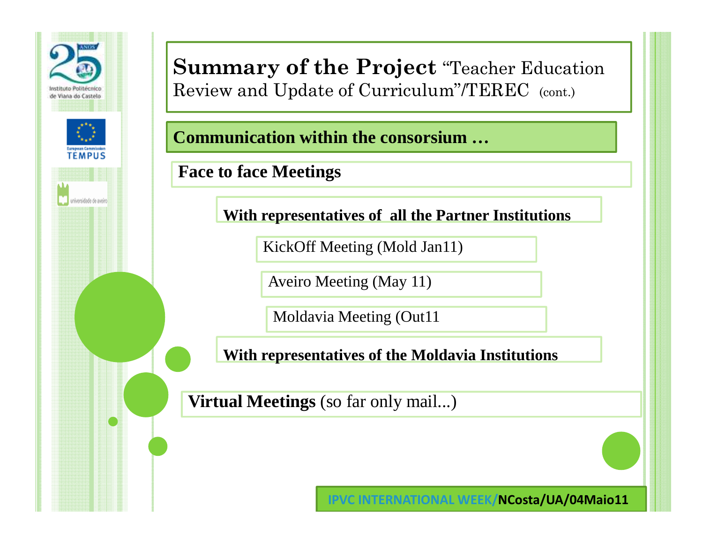

**Communication within the consorsium…**

**Face to face Meetings**

**With representatives of all the Partner Institutions**

KickOff Meeting (Mold Jan11)

Aveiro Meeting (May 11)

Moldavia Meeting (Out11

**With representatives of the Moldavia Institutions**

**Virtual Meetings** (so far only mail...)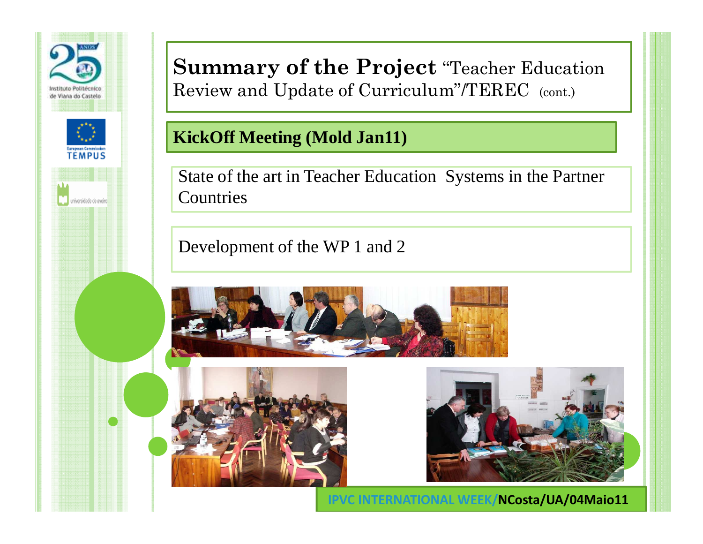

### **KickOff Meeting (Mold Jan11)**

State of the art in Teacher Education Systems in the Partner Countries

Development of the WP 1 and 2





**INCosta/UA/04Maio11**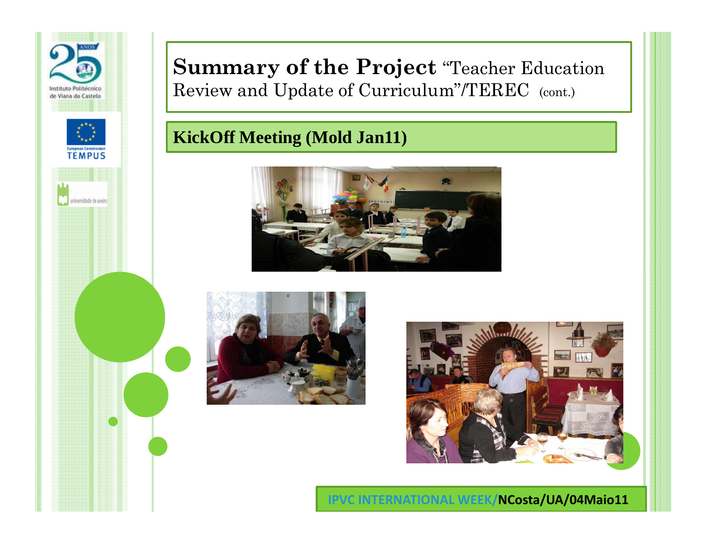

### **KickOff Meeting (Mold Jan11)**





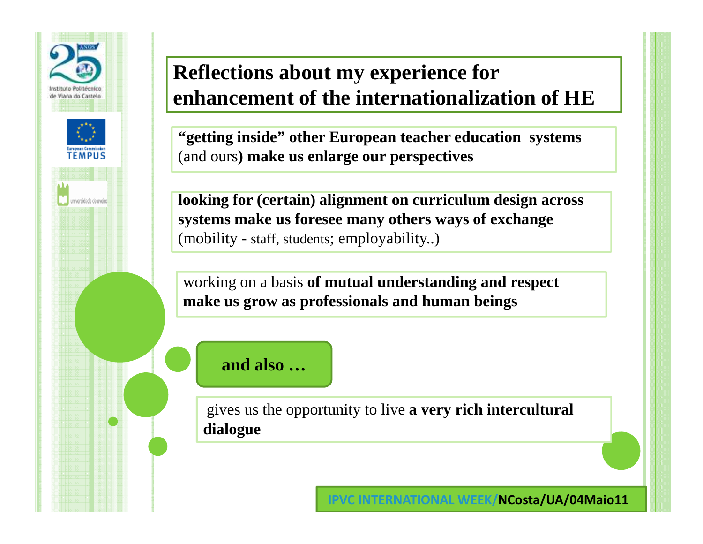

# **Reflections about my experience for enhancement of the internationalization of HE**

**"getting inside" other European teacher education systems** (and ours**) make us enlarge our perspectives** 

**looking for (certain) alignment on curriculum design across systems make us foresee many others ways of exchange** (mobility - staff, students; employability..)

working on a basis **of mutual understanding and respect make us grow as professionals and human beings**

#### **and also …**

gives us the opportunity to live **a very rich intercultural dialogue**